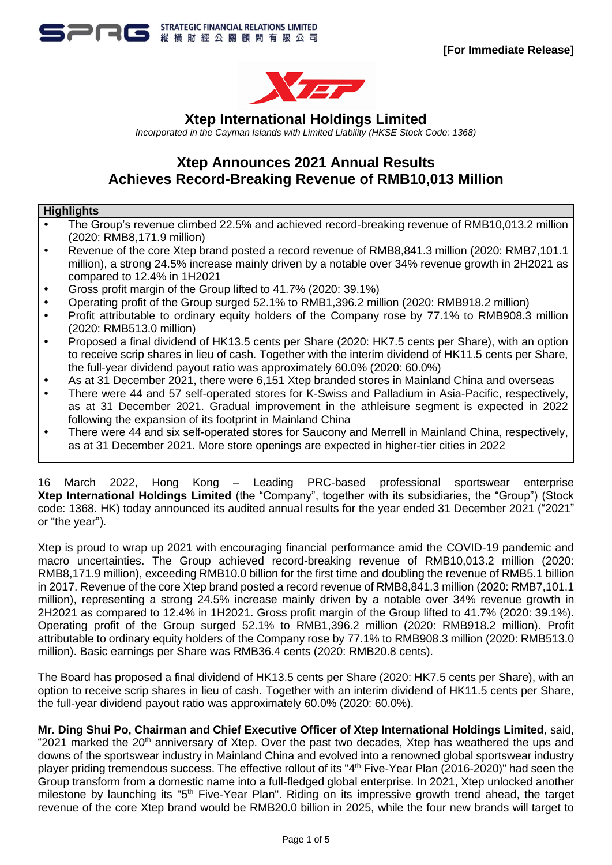

# **Xtep International Holdings Limited**

*Incorporated in the Cayman Islands with Limited Liability (HKSE Stock Code: 1368)*

# **Xtep Announces 2021 Annual Results Achieves Record-Breaking Revenue of RMB10,013 Million**

#### **Highlights**

- The Group's revenue climbed 22.5% and achieved record-breaking revenue of RMB10,013.2 million (2020: RMB8,171.9 million)
- Revenue of the core Xtep brand posted a record revenue of RMB8,841.3 million (2020: RMB7,101.1) million), a strong 24.5% increase mainly driven by a notable over 34% revenue growth in 2H2021 as compared to 12.4% in 1H2021
- Gross profit margin of the Group lifted to 41.7% (2020: 39.1%)
- Operating profit of the Group surged 52.1% to RMB1,396.2 million (2020: RMB918.2 million)
- Profit attributable to ordinary equity holders of the Company rose by 77.1% to RMB908.3 million (2020: RMB513.0 million)
- Proposed a final dividend of HK13.5 cents per Share (2020: HK7.5 cents per Share), with an option to receive scrip shares in lieu of cash. Together with the interim dividend of HK11.5 cents per Share, the full-year dividend payout ratio was approximately 60.0% (2020: 60.0%)
- As at 31 December 2021, there were 6,151 Xtep branded stores in Mainland China and overseas
- There were 44 and 57 self-operated stores for K-Swiss and Palladium in Asia-Pacific, respectively, as at 31 December 2021. Gradual improvement in the athleisure segment is expected in 2022 following the expansion of its footprint in Mainland China
- There were 44 and six self-operated stores for Saucony and Merrell in Mainland China, respectively, as at 31 December 2021. More store openings are expected in higher-tier cities in 2022

16 March 2022, Hong Kong – Leading PRC-based professional sportswear enterprise **Xtep International Holdings Limited** (the "Company", together with its subsidiaries, the "Group") (Stock code: 1368. HK) today announced its audited annual results for the year ended 31 December 2021 ("2021" or "the year").

Xtep is proud to wrap up 2021 with encouraging financial performance amid the COVID-19 pandemic and macro uncertainties. The Group achieved record-breaking revenue of RMB10,013.2 million (2020: RMB8,171.9 million), exceeding RMB10.0 billion for the first time and doubling the revenue of RMB5.1 billion in 2017. Revenue of the core Xtep brand posted a record revenue of RMB8,841.3 million (2020: RMB7,101.1 million), representing a strong 24.5% increase mainly driven by a notable over 34% revenue growth in 2H2021 as compared to 12.4% in 1H2021. Gross profit margin of the Group lifted to 41.7% (2020: 39.1%). Operating profit of the Group surged 52.1% to RMB1,396.2 million (2020: RMB918.2 million). Profit attributable to ordinary equity holders of the Company rose by 77.1% to RMB908.3 million (2020: RMB513.0 million). Basic earnings per Share was RMB36.4 cents (2020: RMB20.8 cents).

The Board has proposed a final dividend of HK13.5 cents per Share (2020: HK7.5 cents per Share), with an option to receive scrip shares in lieu of cash. Together with an interim dividend of HK11.5 cents per Share, the full-year dividend payout ratio was approximately 60.0% (2020: 60.0%).

**Mr. Ding Shui Po, Chairman and Chief Executive Officer of Xtep International Holdings Limited**, said, "2021 marked the 20<sup>th</sup> anniversary of Xtep. Over the past two decades, Xtep has weathered the ups and downs of the sportswear industry in Mainland China and evolved into a renowned global sportswear industry player priding tremendous success. The effective rollout of its "4<sup>th</sup> Five-Year Plan (2016-2020)" had seen the Group transform from a domestic name into a full-fledged global enterprise. In 2021, Xtep unlocked another milestone by launching its "5<sup>th</sup> Five-Year Plan". Riding on its impressive growth trend ahead, the target revenue of the core Xtep brand would be RMB20.0 billion in 2025, while the four new brands will target to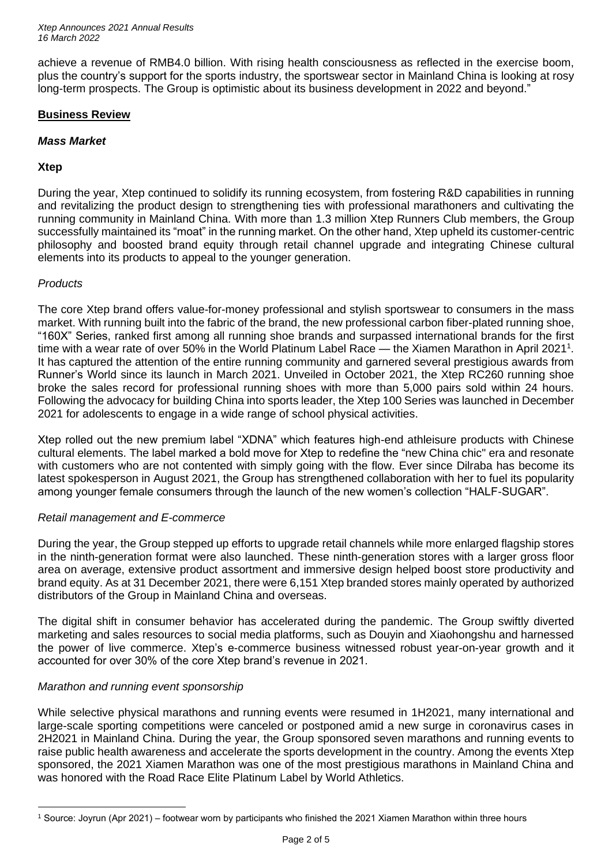*Xtep Announces 2021 Annual Results 16 March 2022*

achieve a revenue of RMB4.0 billion. With rising health consciousness as reflected in the exercise boom, plus the country's support for the sports industry, the sportswear sector in Mainland China is looking at rosy long-term prospects. The Group is optimistic about its business development in 2022 and beyond."

### **Business Review**

### *Mass Market*

### **Xtep**

During the year, Xtep continued to solidify its running ecosystem, from fostering R&D capabilities in running and revitalizing the product design to strengthening ties with professional marathoners and cultivating the running community in Mainland China. With more than 1.3 million Xtep Runners Club members, the Group successfully maintained its "moat" in the running market. On the other hand, Xtep upheld its customer-centric philosophy and boosted brand equity through retail channel upgrade and integrating Chinese cultural elements into its products to appeal to the younger generation.

### *Products*

The core Xtep brand offers value-for-money professional and stylish sportswear to consumers in the mass market. With running built into the fabric of the brand, the new professional carbon fiber-plated running shoe, "160X" Series, ranked first among all running shoe brands and surpassed international brands for the first time with a wear rate of over 50% in the World Platinum Label Race — the Xiamen Marathon in April 2021<sup>1</sup>. It has captured the attention of the entire running community and garnered several prestigious awards from Runner's World since its launch in March 2021. Unveiled in October 2021, the Xtep RC260 running shoe broke the sales record for professional running shoes with more than 5,000 pairs sold within 24 hours. Following the advocacy for building China into sports leader, the Xtep 100 Series was launched in December 2021 for adolescents to engage in a wide range of school physical activities.

Xtep rolled out the new premium label "XDNA" which features high-end athleisure products with Chinese cultural elements. The label marked a bold move for Xtep to redefine the "new China chic" era and resonate with customers who are not contented with simply going with the flow. Ever since Dilraba has become its latest spokesperson in August 2021, the Group has strengthened collaboration with her to fuel its popularity among younger female consumers through the launch of the new women's collection "HALF-SUGAR".

### *Retail management and E-commerce*

During the year, the Group stepped up efforts to upgrade retail channels while more enlarged flagship stores in the ninth-generation format were also launched. These ninth-generation stores with a larger gross floor area on average, extensive product assortment and immersive design helped boost store productivity and brand equity. As at 31 December 2021, there were 6,151 Xtep branded stores mainly operated by authorized distributors of the Group in Mainland China and overseas.

The digital shift in consumer behavior has accelerated during the pandemic. The Group swiftly diverted marketing and sales resources to social media platforms, such as Douyin and Xiaohongshu and harnessed the power of live commerce. Xtep's e-commerce business witnessed robust year-on-year growth and it accounted for over 30% of the core Xtep brand's revenue in 2021.

## *Marathon and running event sponsorship*

While selective physical marathons and running events were resumed in 1H2021, many international and large-scale sporting competitions were canceled or postponed amid a new surge in coronavirus cases in 2H2021 in Mainland China. During the year, the Group sponsored seven marathons and running events to raise public health awareness and accelerate the sports development in the country. Among the events Xtep sponsored, the 2021 Xiamen Marathon was one of the most prestigious marathons in Mainland China and was honored with the Road Race Elite Platinum Label by World Athletics.

<sup>1</sup> Source: Joyrun (Apr 2021) – footwear worn by participants who finished the 2021 Xiamen Marathon within three hours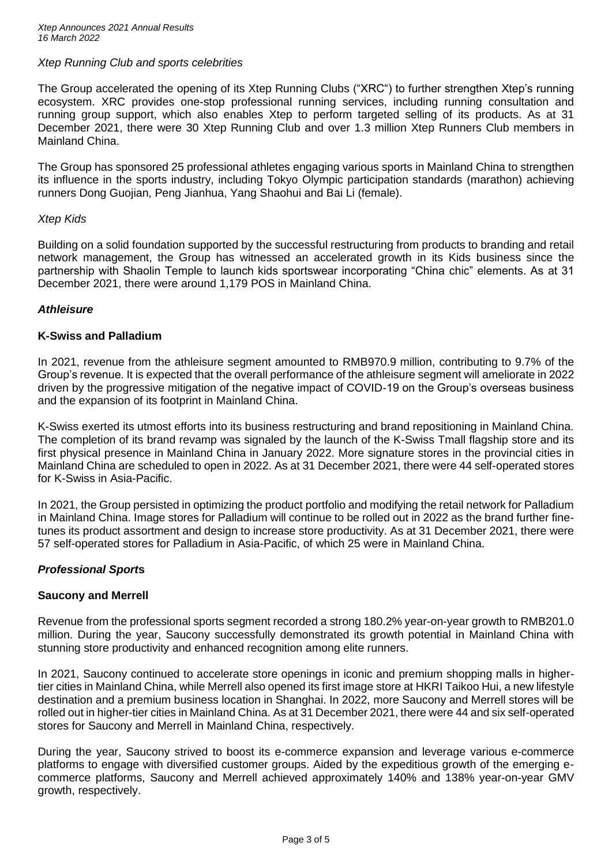#### *Xtep Announces 2021 Annual Results 16 March 2022*

#### *Xtep Running Club and sports celebrities*

The Group accelerated the opening of its Xtep Running Clubs ("XRC") to further strengthen Xtep's running ecosystem. XRC provides one-stop professional running services, including running consultation and running group support, which also enables Xtep to perform targeted selling of its products. As at 31 December 2021, there were 30 Xtep Running Club and over 1.3 million Xtep Runners Club members in Mainland China.

The Group has sponsored 25 professional athletes engaging various sports in Mainland China to strengthen its influence in the sports industry, including Tokyo Olympic participation standards (marathon) achieving runners Dong Guojian, Peng Jianhua, Yang Shaohui and Bai Li (female).

#### *Xtep Kids*

Building on a solid foundation supported by the successful restructuring from products to branding and retail network management, the Group has witnessed an accelerated growth in its Kids business since the partnership with Shaolin Temple to launch kids sportswear incorporating "China chic" elements. As at 31 December 2021, there were around 1,179 POS in Mainland China.

#### *Athleisure*

#### **K-Swiss and Palladium**

In 2021, revenue from the athleisure segment amounted to RMB970.9 million, contributing to 9.7% of the Group's revenue. It is expected that the overall performance of the athleisure segment will ameliorate in 2022 driven by the progressive mitigation of the negative impact of COVID-19 on the Group's overseas business and the expansion of its footprint in Mainland China.

K-Swiss exerted its utmost efforts into its business restructuring and brand repositioning in Mainland China. The completion of its brand revamp was signaled by the launch of the K-Swiss Tmall flagship store and its first physical presence in Mainland China in January 2022. More signature stores in the provincial cities in Mainland China are scheduled to open in 2022. As at 31 December 2021, there were 44 self-operated stores for K-Swiss in Asia-Pacific.

In 2021, the Group persisted in optimizing the product portfolio and modifying the retail network for Palladium in Mainland China. Image stores for Palladium will continue to be rolled out in 2022 as the brand further finetunes its product assortment and design to increase store productivity. As at 31 December 2021, there were 57 self-operated stores for Palladium in Asia-Pacific, of which 25 were in Mainland China.

### *Professional Sport***s**

### **Saucony and Merrell**

Revenue from the professional sports segment recorded a strong 180.2% year-on-year growth to RMB201.0 million. During the year, Saucony successfully demonstrated its growth potential in Mainland China with stunning store productivity and enhanced recognition among elite runners.

In 2021, Saucony continued to accelerate store openings in iconic and premium shopping malls in highertier cities in Mainland China, while Merrell also opened its first image store at HKRI Taikoo Hui, a new lifestyle destination and a premium business location in Shanghai. In 2022, more Saucony and Merrell stores will be rolled out in higher-tier cities in Mainland China. As at 31 December 2021, there were 44 and six self-operated stores for Saucony and Merrell in Mainland China, respectively.

During the year, Saucony strived to boost its e-commerce expansion and leverage various e-commerce platforms to engage with diversified customer groups. Aided by the expeditious growth of the emerging ecommerce platforms, Saucony and Merrell achieved approximately 140% and 138% year-on-year GMV growth, respectively.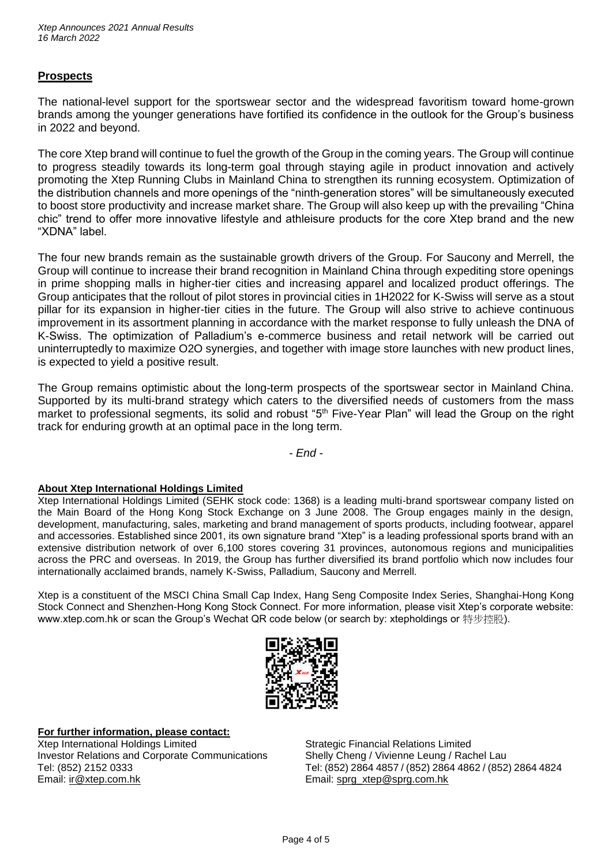### **Prospects**

The national-level support for the sportswear sector and the widespread favoritism toward home-grown brands among the younger generations have fortified its confidence in the outlook for the Group's business in 2022 and beyond.

The core Xtep brand will continue to fuel the growth of the Group in the coming years. The Group will continue to progress steadily towards its long-term goal through staying agile in product innovation and actively promoting the Xtep Running Clubs in Mainland China to strengthen its running ecosystem. Optimization of the distribution channels and more openings of the "ninth-generation stores" will be simultaneously executed to boost store productivity and increase market share. The Group will also keep up with the prevailing "China chic" trend to offer more innovative lifestyle and athleisure products for the core Xtep brand and the new "XDNA" label.

The four new brands remain as the sustainable growth drivers of the Group. For Saucony and Merrell, the Group will continue to increase their brand recognition in Mainland China through expediting store openings in prime shopping malls in higher-tier cities and increasing apparel and localized product offerings. The Group anticipates that the rollout of pilot stores in provincial cities in 1H2022 for K-Swiss will serve as a stout pillar for its expansion in higher-tier cities in the future. The Group will also strive to achieve continuous improvement in its assortment planning in accordance with the market response to fully unleash the DNA of K-Swiss. The optimization of Palladium's e-commerce business and retail network will be carried out uninterruptedly to maximize O2O synergies, and together with image store launches with new product lines, is expected to yield a positive result.

The Group remains optimistic about the long-term prospects of the sportswear sector in Mainland China. Supported by its multi-brand strategy which caters to the diversified needs of customers from the mass market to professional segments, its solid and robust "5<sup>th</sup> Five-Year Plan" will lead the Group on the right track for enduring growth at an optimal pace in the long term.

*- End -*

#### **About Xtep International Holdings Limited**

Xtep International Holdings Limited (SEHK stock code: 1368) is a leading multi-brand sportswear company listed on the Main Board of the Hong Kong Stock Exchange on 3 June 2008. The Group engages mainly in the design, development, manufacturing, sales, marketing and brand management of sports products, including footwear, apparel and accessories. Established since 2001, its own signature brand "Xtep" is a leading professional sports brand with an extensive distribution network of over 6,100 stores covering 31 provinces, autonomous regions and municipalities across the PRC and overseas. In 2019, the Group has further diversified its brand portfolio which now includes four internationally acclaimed brands, namely K-Swiss, Palladium, Saucony and Merrell.

Xtep is a constituent of the MSCI China Small Cap Index, Hang Seng Composite Index Series, Shanghai-Hong Kong Stock Connect and Shenzhen-Hong Kong Stock Connect. For more information, please visit Xtep's corporate website: www.xtep.com.hk or scan the Group's Wechat QR code below (or search by: xtepholdings or 特步控股).



#### **For further information, please contact:**

Xtep International Holdings Limited Investor Relations and Corporate Communications Tel: (852) 2152 0333 Email: ir@xtep.com.hk

Strategic Financial Relations Limited Shelly Cheng / Vivienne Leung / Rachel Lau Tel: (852) 2864 4857 / (852) 2864 4862 / (852) 2864 4824 Email: sprg\_xtep@sprg.com.hk